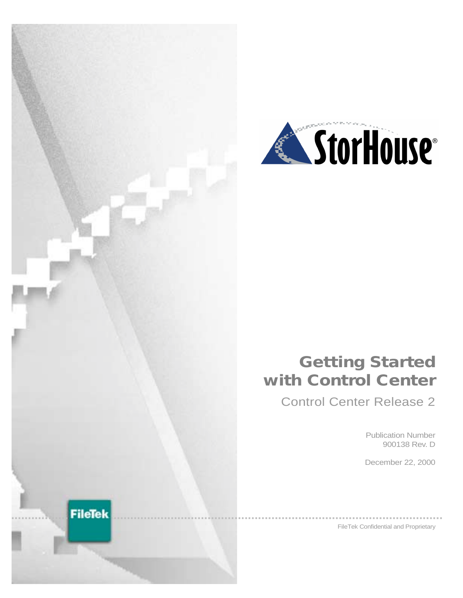



## **Getting Started with Control Center**

Control Center Release 2

Publication Number 900138 Rev. D

December 22, 2000

FileTek Confidential and Proprietary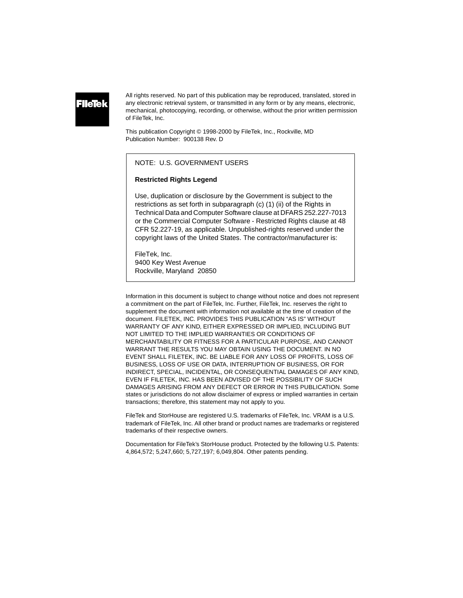### **FileTel**

All rights reserved. No part of this publication may be reproduced, translated, stored in any electronic retrieval system, or transmitted in any form or by any means, electronic, mechanical, photocopying, recording, or otherwise, without the prior written permission of FileTek, Inc.

This publication Copyright © 1998-2000 by FileTek, Inc., Rockville, MD Publication Number: 900138 Rev. D

#### NOTE: U.S. GOVERNMENT USERS

#### **Restricted Rights Legend**

Use, duplication or disclosure by the Government is subject to the restrictions as set forth in subparagraph (c) (1) (ii) of the Rights in Technical Data and Computer Software clause at DFARS 252.227-7013 or the Commercial Computer Software - Restricted Rights clause at 48 CFR 52.227-19, as applicable. Unpublished-rights reserved under the copyright laws of the United States. The contractor/manufacturer is:

FileTek, Inc. 9400 Key West Avenue Rockville, Maryland 20850

Information in this document is subject to change without notice and does not represent a commitment on the part of FileTek, Inc. Further, FileTek, Inc. reserves the right to supplement the document with information not available at the time of creation of the document. FILETEK, INC. PROVIDES THIS PUBLICATION "AS IS" WITHOUT WARRANTY OF ANY KIND, EITHER EXPRESSED OR IMPLIED, INCLUDING BUT NOT LIMITED TO THE IMPLIED WARRANTIES OR CONDITIONS OF MERCHANTABILITY OR FITNESS FOR A PARTICULAR PURPOSE, AND CANNOT WARRANT THE RESULTS YOU MAY OBTAIN USING THE DOCUMENT. IN NO EVENT SHALL FILETEK, INC. BE LIABLE FOR ANY LOSS OF PROFITS, LOSS OF BUSINESS, LOSS OF USE OR DATA, INTERRUPTION OF BUSINESS, OR FOR INDIRECT, SPECIAL, INCIDENTAL, OR CONSEQUENTIAL DAMAGES OF ANY KIND, EVEN IF FILETEK, INC. HAS BEEN ADVISED OF THE POSSIBILITY OF SUCH DAMAGES ARISING FROM ANY DEFECT OR ERROR IN THIS PUBLICATION. Some states or jurisdictions do not allow disclaimer of express or implied warranties in certain transactions; therefore, this statement may not apply to you.

FileTek and StorHouse are registered U.S. trademarks of FileTek, Inc. VRAM is a U.S. trademark of FileTek, Inc. All other brand or product names are trademarks or registered trademarks of their respective owners.

Documentation for FileTek's StorHouse product. Protected by the following U.S. Patents: 4,864,572; 5,247,660; 5,727,197; 6,049,804. Other patents pending.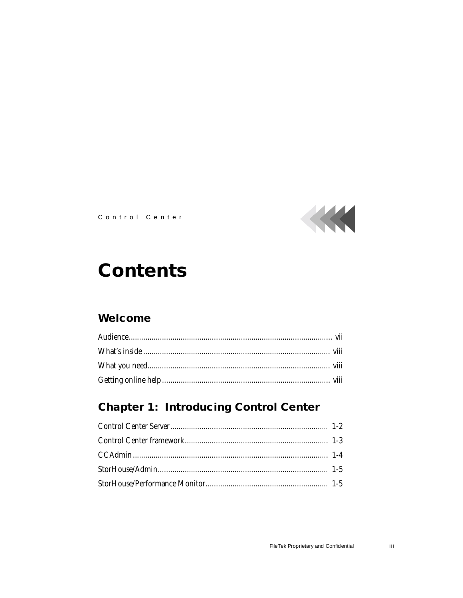

Control Center

# **Contents**

### Welcome

### **Chapter 1: Introducing Control Center**

iii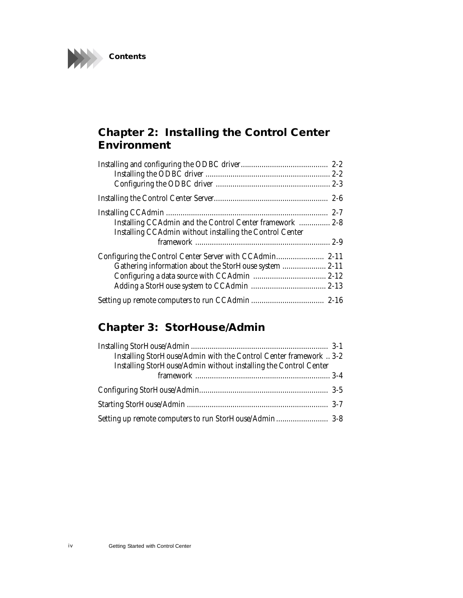

### **[Chapter 2: Installing the Control Center](#page-12-0) Environment**

| Installing CCAdmin and the Control Center framework  2-8 |  |
|----------------------------------------------------------|--|
| Installing CCAdmin without installing the Control Center |  |
|                                                          |  |
|                                                          |  |
| Gathering information about the StorHouse system  2-11   |  |
|                                                          |  |
|                                                          |  |
|                                                          |  |

### **[Chapter 3: StorHouse/Admin](#page-29-0)**

| Installing StorHouse/Admin with the Control Center framework  3-2<br>Installing StorHouse/Admin without installing the Control Center |  |
|---------------------------------------------------------------------------------------------------------------------------------------|--|
|                                                                                                                                       |  |
|                                                                                                                                       |  |
|                                                                                                                                       |  |
|                                                                                                                                       |  |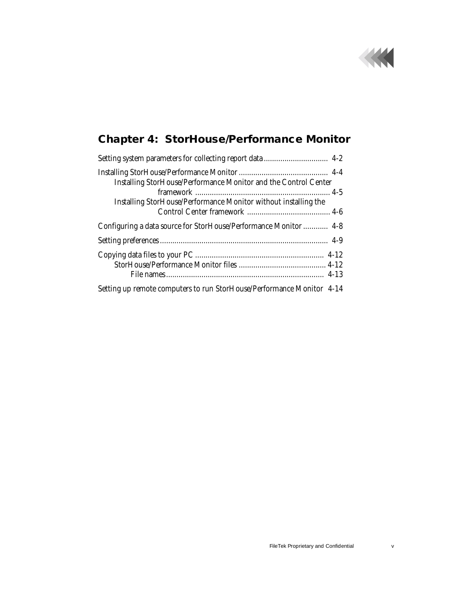

## **[Chapter 4: StorHouse/Performance Monitor](#page-37-0)**

| Installing StorHouse/Performance Monitor and the Control Center       |
|-----------------------------------------------------------------------|
| Installing StorHouse/Performance Monitor without installing the       |
| Configuring a data source for StorHouse/Performance Monitor  4-8      |
|                                                                       |
|                                                                       |
| Setting up remote computers to run StorHouse/Performance Monitor 4-14 |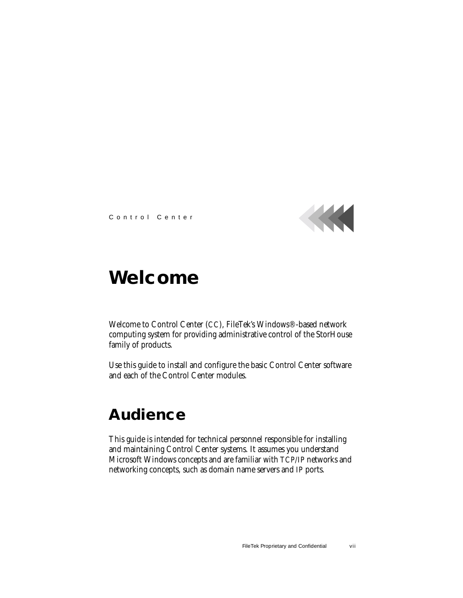

Control Center

## <span id="page-5-0"></span>**Welcome**

Welcome to Control Center (CC), FileTek's Windows®-based network computing system for providing administrative control of the StorHouse family of products.

Use this guide to install and configure the basic Control Center software and each of the Control Center modules.

### <span id="page-5-1"></span>**Audience**

This guide is intended for technical personnel responsible for installing and maintaining Control Center systems. It assumes you understand Microsoft Windows concepts and are familiar with TCP/IP networks and networking concepts, such as domain name servers and IP ports.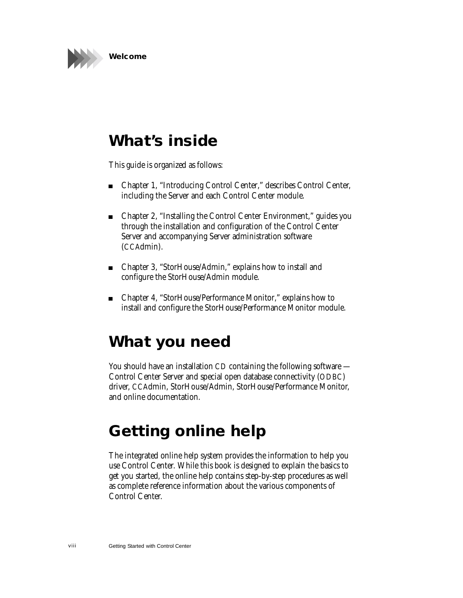

### <span id="page-6-0"></span>**What's inside**

This guide is organized as follows:

- [Chapter 1](#page-7-1), "[Introducing Control Center](#page-7-2)," describes Control Center, including the Server and each Control Center module.
- Chapter 2, "[Installing the Control Center Environment,](#page-12-1)" guides you through the installation and configuration of the Control Center Server and accompanying Server administration software (CCAdmin).
- Chapter 3, "[StorHouse/Admin,](#page-29-2)" explains how to install and configure the StorHouse/Admin module.
- Chapter 4, "[StorHouse/Performance Monitor](#page-37-1)," explains how to install and configure the StorHouse/Performance Monitor module.

## <span id="page-6-1"></span>**What you need**

You should have an installation CD containing the following software — Control Center Server and special open database connectivity (ODBC) driver, CCAdmin, StorHouse/Admin, StorHouse/Performance Monitor, and online documentation.

## <span id="page-6-2"></span>**Getting online help**

<span id="page-6-3"></span>The integrated online help system provides the information to help you use Control Center. While this book is designed to explain the basics to get you started, the online help contains step-by-step procedures as well as complete reference information about the various components of Control Center.

viii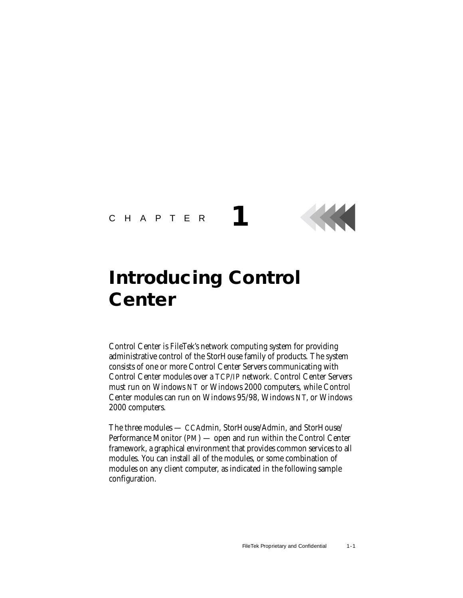### <span id="page-7-3"></span><span id="page-7-1"></span>CHAPTER **1**

# <span id="page-7-2"></span><span id="page-7-0"></span>**Introducing Control Center**

<span id="page-7-4"></span>Control Center is FileTek's network computing system for providing administrative control of the StorHouse family of products. The system consists of one or more Control Center Servers communicating with Control Center modules over a TCP/IP network. Control Center Servers must run on Windows NT or Windows 2000 computers, while Control Center modules can run on Windows 95/98, Windows NT, or Windows 2000 computers.

<span id="page-7-6"></span><span id="page-7-5"></span>The three modules — CCAdmin, StorHouse/Admin, and StorHouse/ Performance Monitor (PM) — open and run within the Control Center framework, a graphical environment that provides common services to all modules. You can install all of the modules, or some combination of modules on any client computer, as indicated in the following sample configuration.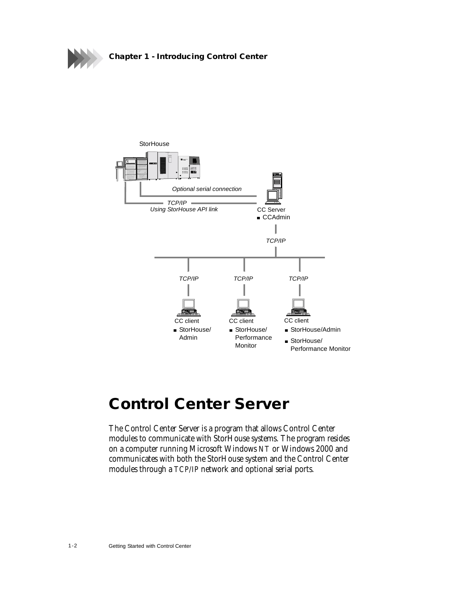



### <span id="page-8-0"></span>**Control Center Server**

<span id="page-8-2"></span><span id="page-8-1"></span>The Control Center Server is a program that allows Control Center modules to communicate with StorHouse systems. The program resides on a computer running Microsoft Windows NT or Windows 2000 and communicates with both the StorHouse system and the Control Center modules through a TCP/IP network and optional serial ports.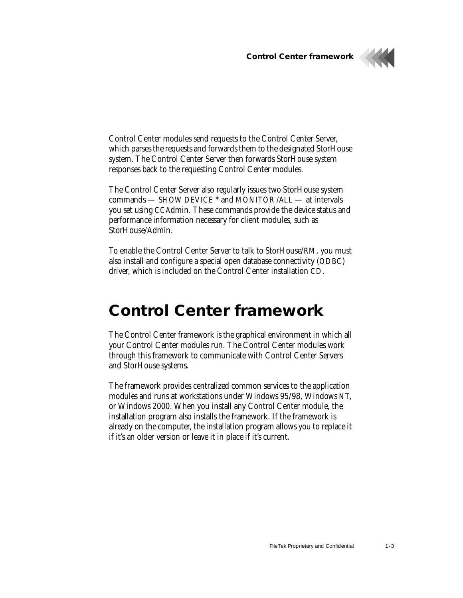**Control Center framework**



Control Center modules send requests to the Control Center Server, which parses the requests and forwards them to the designated StorHouse system. The Control Center Server then forwards StorHouse system responses back to the requesting Control Center modules.

<span id="page-9-4"></span><span id="page-9-3"></span>The Control Center Server also regularly issues two StorHouse system commands — SHOW DEVICE \* and MONITOR /ALL — at intervals you set using CCAdmin. These commands provide the device status and performance information necessary for client modules, such as StorHouse/Admin.

To enable the Control Center Server to talk to StorHouse/RM, you must also install and configure a special open database connectivity (ODBC) driver, which is included on the Control Center installation CD.

### <span id="page-9-0"></span>**Control Center framework**

<span id="page-9-2"></span><span id="page-9-1"></span>The Control Center framework is the graphical environment in which all your Control Center modules run. The Control Center modules work through this framework to communicate with Control Center Servers and StorHouse systems.

The framework provides centralized common services to the application modules and runs at workstations under Windows 95/98, Windows NT, or Windows 2000. When you install any Control Center module, the installation program also installs the framework. If the framework is already on the computer, the installation program allows you to replace it if it's an older version or leave it in place if it's current.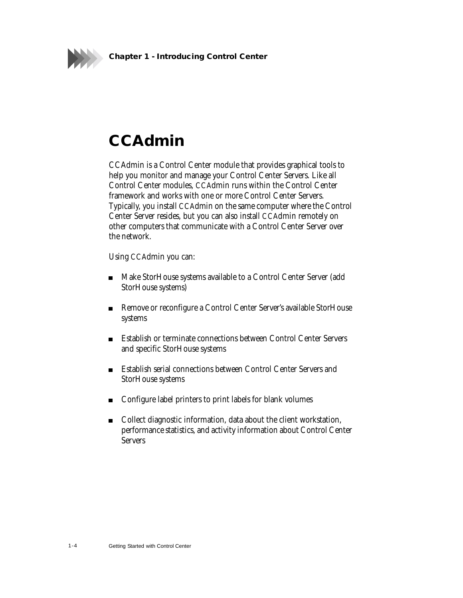

**Chapter 1 - Introducing Control Center**

## <span id="page-10-0"></span>**CCAdmin**

<span id="page-10-2"></span><span id="page-10-1"></span>CCAdmin is a Control Center module that provides graphical tools to help you monitor and manage your Control Center Servers. Like all Control Center modules, CCAdmin runs within the Control Center framework and works with one or more Control Center Servers. Typically, you install CCAdmin on the same computer where the Control Center Server resides, but you can also install CCAdmin remotely on other computers that communicate with a Control Center Server over the network.

Using CCAdmin you can:

- Make StorHouse systems available to a Control Center Server (add StorHouse systems)
- Remove or reconfigure a Control Center Server's available StorHouse systems
- Establish or terminate connections between Control Center Servers and specific StorHouse systems
- **Establish serial connections between Control Center Servers and Leapers** StorHouse systems
- Configure label printers to print labels for blank volumes
- Collect diagnostic information, data about the client workstation, performance statistics, and activity information about Control Center Servers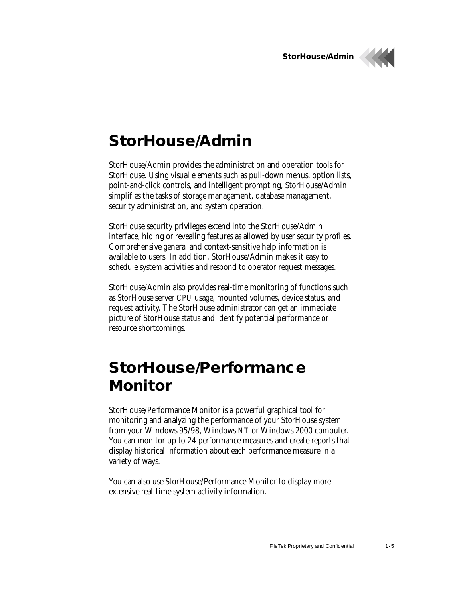



## <span id="page-11-4"></span><span id="page-11-0"></span>**StorHouse/Admin**

<span id="page-11-2"></span>StorHouse/Admin provides the administration and operation tools for StorHouse. Using visual elements such as pull-down menus, option lists, point-and-click controls, and intelligent prompting, StorHouse/Admin simplifies the tasks of storage management, database management, security administration, and system operation.

StorHouse security privileges extend into the StorHouse/Admin interface, hiding or revealing features as allowed by user security profiles. Comprehensive general and context-sensitive help information is available to users. In addition, StorHouse/Admin makes it easy to schedule system activities and respond to operator request messages.

StorHouse/Admin also provides real-time monitoring of functions such as StorHouse server CPU usage, mounted volumes, device status, and request activity. The StorHouse administrator can get an immediate picture of StorHouse status and identify potential performance or resource shortcomings.

## <span id="page-11-1"></span>**StorHouse/Performance Monitor**

<span id="page-11-5"></span><span id="page-11-3"></span>StorHouse/Performance Monitor is a powerful graphical tool for monitoring and analyzing the performance of your StorHouse system from your Windows 95/98, Windows NT or Windows 2000 computer. You can monitor up to 24 performance measures and create reports that display historical information about each performance measure in a variety of ways.

You can also use StorHouse/Performance Monitor to display more extensive real-time system activity information.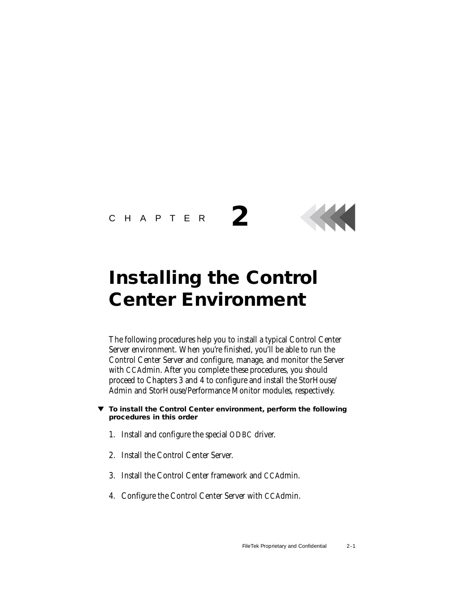#### CHAPTER



## <span id="page-12-1"></span><span id="page-12-0"></span>**Installing the Control Center Environment**

**2**

<span id="page-12-3"></span><span id="page-12-2"></span>The following procedures help you to install a typical Control Center Server environment. When you're finished, you'll be able to run the Control Center Server and configure, manage, and monitor the Server with CCAdmin. After you complete these procedures, you should proceed to Chapters 3 and 4 to configure and install the StorHouse/ Admin and StorHouse/Performance Monitor modules, respectively.

- **To install the Control Center environment, perform the following procedures in this order**
	- 1. Install and configure the special ODBC driver.
	- 2. Install the Control Center Server.
	- 3. Install the Control Center framework and CCAdmin.
	- 4. Configure the Control Center Server with CCAdmin.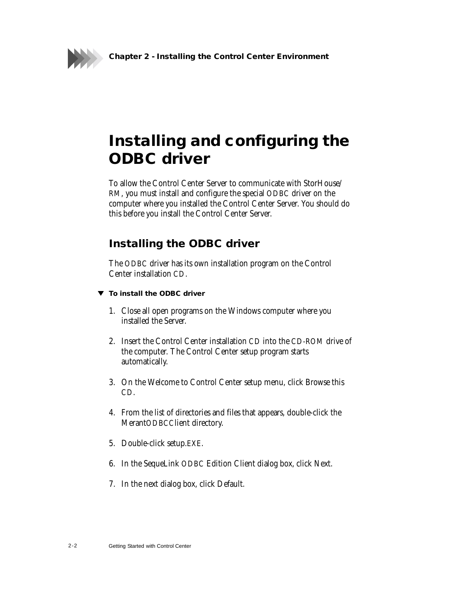**Chapter 2 - Installing the Control Center Environment**



## <span id="page-13-0"></span>**Installing and configuring the ODBC driver**

To allow the Control Center Server to communicate with StorHouse/ RM, you must install and configure the special ODBC driver on the computer where you installed the Control Center Server. You should do this before you install the Control Center Server.

### <span id="page-13-3"></span><span id="page-13-2"></span><span id="page-13-1"></span>**Installing the ODBC driver**

The ODBC driver has its own installation program on the Control Center installation CD.

- **To install the ODBC driver**
	- 1. Close all open programs on the Windows computer where you installed the Server.
	- 2. Insert the Control Center installation CD into the CD-ROM drive of the computer. The Control Center setup program starts automatically.
	- 3. On the Welcome to Control Center setup menu, click Browse this CD.
	- 4. From the list of directories and files that appears, double-click the MerantODBCClient directory.
	- 5. Double-click setup.EXE.
	- 6. In the SequeLink ODBC Edition Client dialog box, click Next.
	- 7. In the next dialog box, click Default.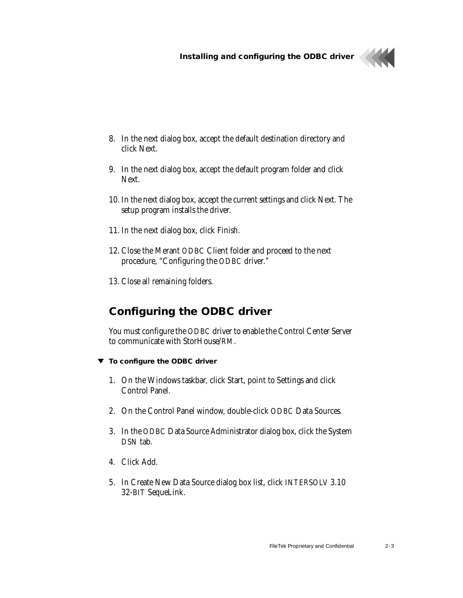

- 8. In the next dialog box, accept the default destination directory and click Next.
- 9. In the next dialog box, accept the default program folder and click Next.
- 10. In the next dialog box, accept the current settings and click Next. The setup program installs the driver.
- 11. In the next dialog box, click Finish.
- 12. Close the Merant ODBC Client folder and proceed to the next procedure, "Configuring the ODBC driver."
- 13. Close all remaining folders.

### <span id="page-14-2"></span><span id="page-14-1"></span><span id="page-14-0"></span>**Configuring the ODBC driver**

You must configure the ODBC driver to enable the Control Center Server to communicate with StorHouse/RM.

- **To configure the ODBC driver**
	- 1. On the Windows taskbar, click Start, point to Settings and click Control Panel.
	- 2. On the Control Panel window, double-click ODBC Data Sources.
	- 3. In the ODBC Data Source Administrator dialog box, click the System DSN tab.
	- 4. Click Add.
	- 5. In Create New Data Source dialog box list, click INTERSOLV 3.10 32-BIT SequeLink.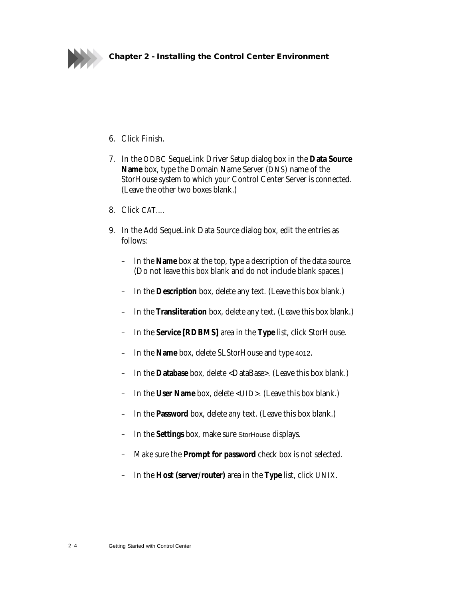

#### **Chapter 2 - Installing the Control Center Environment**

- 6. Click Finish.
- 7. In the ODBC SequeLink Driver Setup dialog box in the **Data Source Name** box, type the Domain Name Server (DNS) name of the StorHouse system to which your Control Center Server is connected. (Leave the other two boxes blank.)
- 8. Click CAT....
- 9. In the Add SequeLink Data Source dialog box, edit the entries as follows:
	- In the **Name** box at the top, type a description of the data source. (Do not leave this box blank and do not include blank spaces.)
	- In the **Description** box, delete any text. (Leave this box blank.)
	- In the **Transliteration** box, delete any text. (Leave this box blank.)
	- In the **Service [RDBMS]** area in the **Type** list, click StorHouse.
	- In the **Name** box, delete SLStorHouse and type 4012.
	- In the **Database** box, delete <DataBase>. (Leave this box blank.)
	- In the **User Name** box, delete <UID>. (Leave this box blank.)
	- In the **Password** box, delete any text. (Leave this box blank.)
	- In the **Settings** box, make sure StorHouse displays.
	- Make sure the **Prompt for password** check box is not selected.
	- In the **Host (server/router)** area in the **Type** list, click UNIX.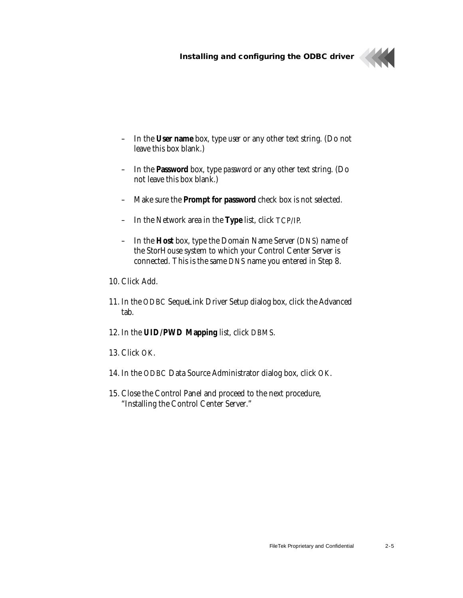

- In the **User name** box, type *user* or any other text string. (Do not leave this box blank.)
- In the **Password** box, type *password* or any other text string. (Do not leave this box blank.)
- Make sure the **Prompt for password** check box is not selected.
- In the Network area in the **Type** list, click TCP/IP.
- In the **Host** box, type the Domain Name Server (DNS) name of the StorHouse system to which your Control Center Server is connected. This is the same DNS name you entered in Step 8.
- 10. Click Add.
- 11. In the ODBC SequeLink Driver Setup dialog box, click the Advanced tab.
- 12. In the **UID/PWD Mapping** list, click DBMS.
- 13. Click OK.
- 14. In the ODBC Data Source Administrator dialog box, click OK.
- 15. Close the Control Panel and proceed to the next procedure, ["Installing the Control Center Server](#page-17-0)."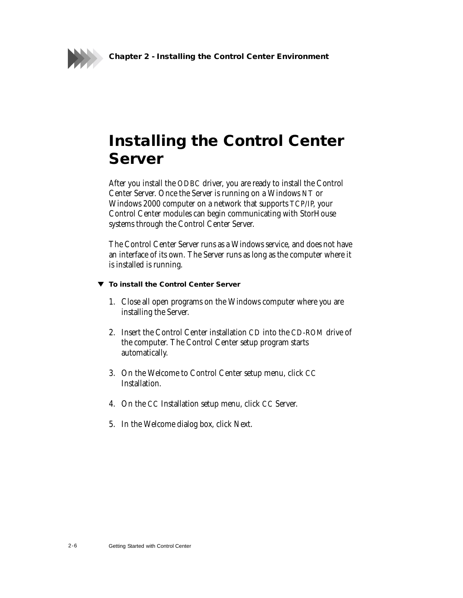

## <span id="page-17-0"></span>**Installing the Control Center Server**

<span id="page-17-2"></span><span id="page-17-1"></span>After you install the ODBC driver, you are ready to install the Control Center Server. Once the Server is running on a Windows NT or Windows 2000 computer on a network that supports TCP/IP, your Control Center modules can begin communicating with StorHouse systems through the Control Center Server.

The Control Center Server runs as a Windows service, and does not have an interface of its own. The Server runs as long as the computer where it is installed is running.

#### **To install the Control Center Server**

- 1. Close all open programs on the Windows computer where you are installing the Server.
- 2. Insert the Control Center installation CD into the CD-ROM drive of the computer. The Control Center setup program starts automatically.
- 3. On the Welcome to Control Center setup menu, click CC Installation.
- 4. On the CC Installation setup menu, click CC Server.
- 5. In the Welcome dialog box, click Next.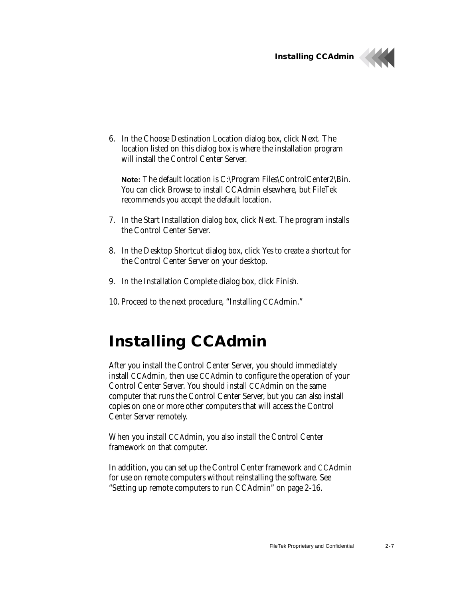**Installing CCAdmin**



6. In the Choose Destination Location dialog box, click Next. The location listed on this dialog box is where the installation program will install the Control Center Server.

**Note:** The default location is C:\Program Files\ControlCenter2\Bin. You can click Browse to install CCAdmin elsewhere, but FileTek recommends you accept the default location.

- 7. In the Start Installation dialog box, click Next. The program installs the Control Center Server.
- 8. In the Desktop Shortcut dialog box, click Yes to create a shortcut for the Control Center Server on your desktop.
- 9. In the Installation Complete dialog box, click Finish.
- 10. Proceed to the next procedure, "Installing CCAdmin."

### <span id="page-18-0"></span>**Installing CCAdmin**

<span id="page-18-2"></span><span id="page-18-1"></span>After you install the Control Center Server, you should immediately install CCAdmin, then use CCAdmin to configure the operation of your Control Center Server. You should install CCAdmin on the same computer that runs the Control Center Server, but you can also install copies on one or more other computers that will access the Control Center Server remotely.

When you install CCAdmin, you also install the Control Center framework on that computer.

In addition, you can set up the Control Center framework and CCAdmin for use on remote computers without reinstalling the software. See "[Setting up remote computers to run CCAdmin](#page-27-0)" on page 2[-16.](#page-27-0)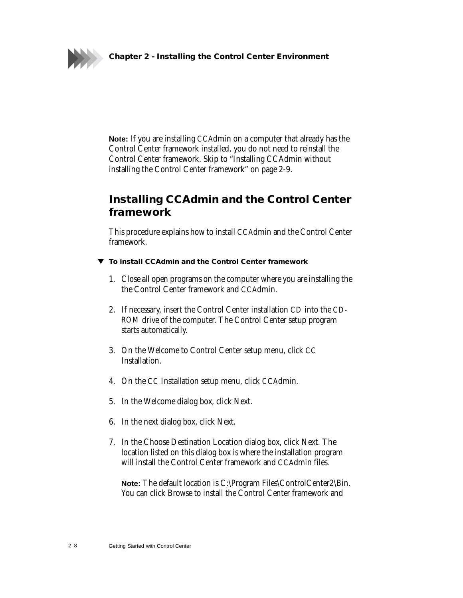



**Note:** If you are installing CCAdmin on a computer that already has the Control Center framework installed, you do not need to reinstall the Control Center framework. Skip to "[Installing CCAdmin without](#page-20-0)  [installing the Control Center framework"](#page-20-0) on page 2[-9.](#page-20-0)

### <span id="page-19-0"></span>**Installing CCAdmin and the Control Center framework**

This procedure explains how to install CCAdmin and the Control Center framework.

- **To install CCAdmin and the Control Center framework**
	- 1. Close all open programs on the computer where you are installing the the Control Center framework and CCAdmin.
	- 2. If necessary, insert the Control Center installation CD into the CD-ROM drive of the computer. The Control Center setup program starts automatically.
	- 3. On the Welcome to Control Center setup menu, click CC Installation.
	- 4. On the CC Installation setup menu, click CCAdmin.
	- 5. In the Welcome dialog box, click Next.
	- 6. In the next dialog box, click Next.
	- 7. In the Choose Destination Location dialog box, click Next. The location listed on this dialog box is where the installation program will install the Control Center framework and CCAdmin files.

**Note:** The default location is C:\Program Files\ControlCenter2\Bin. You can click Browse to install the Control Center framework and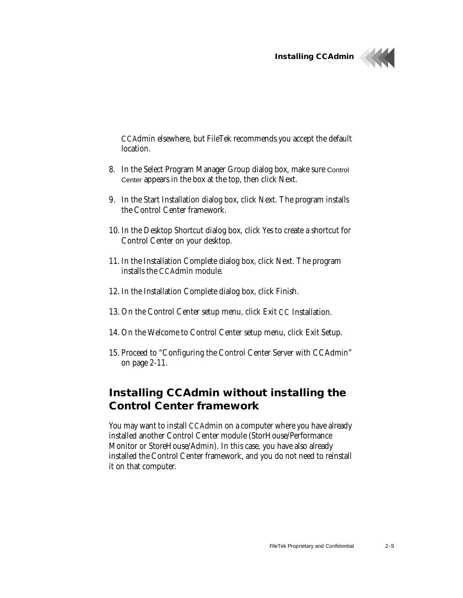**Installing CCAdmin**



CCAdmin elsewhere, but FileTek recommends you accept the default location.

- 8. In the Select Program Manager Group dialog box, make sure Control Center appears in the box at the top, then click Next.
- 9. In the Start Installation dialog box, click Next. The program installs the Control Center framework.
- 10. In the Desktop Shortcut dialog box, click Yes to create a shortcut for Control Center on your desktop.
- 11. In the Installation Complete dialog box, click Next. The program installs the CCAdmin module.
- 12. In the Installation Complete dialog box, click Finish.
- 13. On the Control Center setup menu, click Exit CC Installation.
- 14. On the Welcome to Control Center setup menu, click Exit Setup.
- 15. Proceed to "[Configuring the Control Center Server with CCAdmin"](#page-22-0) on page 2[-11.](#page-22-0)

### <span id="page-20-0"></span>**Installing CCAdmin without installing the Control Center framework**

You may want to install CCAdmin on a computer where you have already installed another Control Center module (StorHouse/Performance Monitor or StoreHouse/Admin). In this case, you have also already installed the Control Center framework, and you do not need to reinstall it on that computer.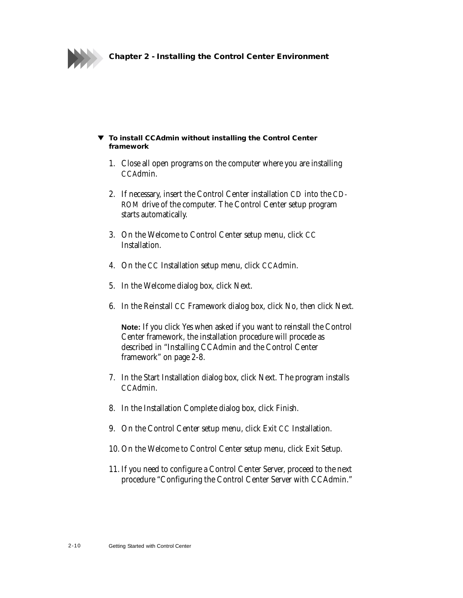

#### **To install CCAdmin without installing the Control Center framework**

- 1. Close all open programs on the computer where you are installing CCAdmin.
- 2. If necessary, insert the Control Center installation CD into the CD-ROM drive of the computer. The Control Center setup program starts automatically.
- 3. On the Welcome to Control Center setup menu, click CC Installation.
- 4. On the CC Installation setup menu, click CCAdmin.
- 5. In the Welcome dialog box, click Next.
- 6. In the Reinstall CC Framework dialog box, click No, then click Next.

**Note:** If you click Yes when asked if you want to reinstall the Control Center framework, the installation procedure will procede as described in "[Installing CCAdmin and the Control Center](#page-19-0)  [framework](#page-19-0)" on page [2-8.](#page-19-0)

- 7. In the Start Installation dialog box, click Next. The program installs CCAdmin.
- 8. In the Installation Complete dialog box, click Finish.
- 9. On the Control Center setup menu, click Exit CC Installation.
- 10. On the Welcome to Control Center setup menu, click Exit Setup.
- 11. If you need to configure a Control Center Server, proceed to the next procedure ["Configuring the Control Center Server with CCAdmin](#page-22-0)."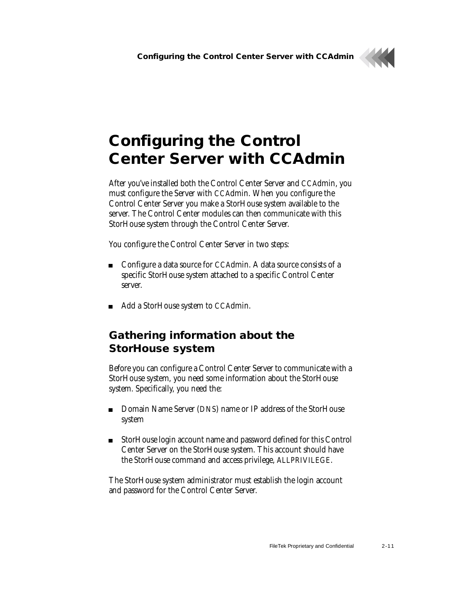

## <span id="page-22-0"></span>**Configuring the Control Center Server with CCAdmin**

<span id="page-22-2"></span>After you've installed both the Control Center Server and CCAdmin, you must configure the Server with CCAdmin. When you configure the Control Center Server you make a StorHouse system available to the server. The Control Center modules can then communicate with this StorHouse system through the Control Center Server.

You configure the Control Center Server in two steps:

- Configure a data source for CCAdmin. A data source consists of a specific StorHouse system attached to a specific Control Center server.
- Add a StorHouse system to CCAdmin.

### <span id="page-22-1"></span>**Gathering information about the StorHouse system**

<span id="page-22-3"></span>Before you can configure a Control Center Server to communicate with a StorHouse system, you need some information about the StorHouse system. Specifically, you need the:

- Domain Name Server (DNS) name or IP address of the StorHouse system
- StorHouse login account name and password defined for this Control Center Server on the StorHouse system. This account should have the StorHouse command and access privilege, ALLPRIVILEGE.

The StorHouse system administrator must establish the login account and password for the Control Center Server.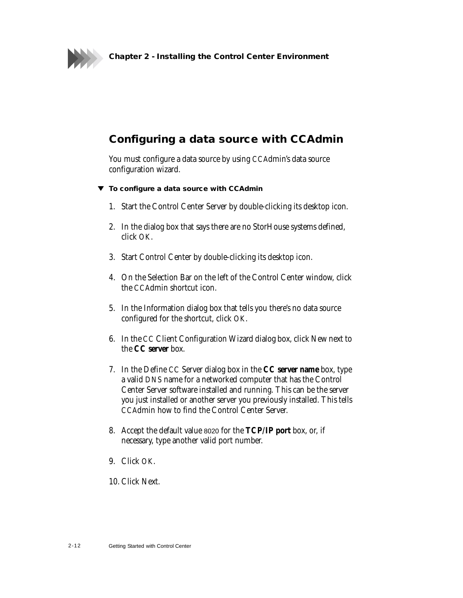

### <span id="page-23-2"></span><span id="page-23-1"></span><span id="page-23-0"></span>**Configuring a data source with CCAdmin**

You must configure a data source by using CCAdmin's data source configuration wizard.

- **To configure a data source with CCAdmin**
	- 1. Start the Control Center Server by double-clicking its desktop icon.
	- 2. In the dialog box that says there are no StorHouse systems defined, click OK.
	- 3. Start Control Center by double-clicking its desktop icon.
	- 4. On the Selection Bar on the left of the Control Center window, click the CCAdmin shortcut icon.
	- 5. In the Information dialog box that tells you there's no data source configured for the shortcut, click OK.
	- 6. In the CC Client Configuration Wizard dialog box, click New next to the **CC server** box.
	- 7. In the Define CC Server dialog box in the **CC server name** box, type a valid DNS name for a networked computer that has the Control Center Server software installed and running. This can be the server you just installed or another server you previously installed. This tells CCAdmin how to find the Control Center Server.
	- 8. Accept the default value 8020 for the **TCP/IP port** box, or, if necessary, type another valid port number.
	- 9. Click OK.
	- 10. Click Next.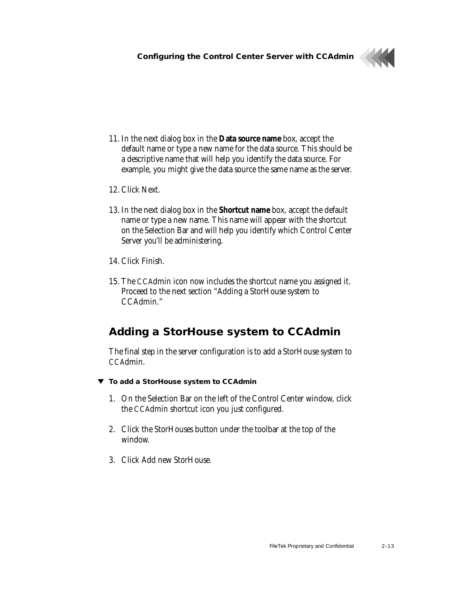

- 11. In the next dialog box in the **Data source name** box, accept the default name or type a new name for the data source. This should be a descriptive name that will help you identify the data source. For example, you might give the data source the same name as the server.
- 12. Click Next.
- 13. In the next dialog box in the **Shortcut name** box, accept the default name or type a new name. This name will appear with the shortcut on the Selection Bar and will help you identify which Control Center Server you'll be administering.
- 14. Click Finish.
- 15. The CCAdmin icon now includes the shortcut name you assigned it. Proceed to the next section "[Adding a StorHouse system to](#page-24-0)  [CCAdmin.](#page-24-0)"

### <span id="page-24-2"></span><span id="page-24-1"></span><span id="page-24-0"></span>**Adding a StorHouse system to CCAdmin**

The final step in the server configuration is to add a StorHouse system to CCAdmin.

- **To add a StorHouse system to CCAdmin**
	- 1. On the Selection Bar on the left of the Control Center window, click the CCAdmin shortcut icon you just configured.
	- 2. Click the StorHouses button under the toolbar at the top of the window.
	- 3. Click Add new StorHouse.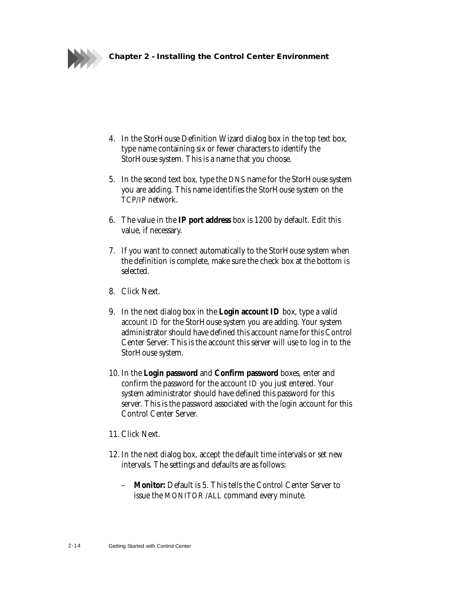

- 4. In the StorHouse Definition Wizard dialog box in the top text box, type name containing six or fewer characters to identify the StorHouse system. This is a name that you choose.
- 5. In the second text box, type the DNS name for the StorHouse system you are adding. This name identifies the StorHouse system on the TCP/IP network.
- 6. The value in the **IP port address** box is 1200 by default. Edit this value, if necessary.
- 7. If you want to connect automatically to the StorHouse system when the definition is complete, make sure the check box at the bottom is selected.
- 8. Click Next.
- 9. In the next dialog box in the **Login account ID** box, type a valid account ID for the StorHouse system you are adding. Your system administrator should have defined this account name for this Control Center Server. This is the account this server will use to log in to the StorHouse system.
- 10. In the **Login password** and **Confirm password** boxes, enter and confirm the password for the account ID you just entered. Your system administrator should have defined this password for this server. This is the password associated with the login account for this Control Center Server.
- 11. Click Next.
- 12. In the next dialog box, accept the default time intervals or set new intervals. The settings and defaults are as follows:
	- **Monitor:** Default is 5. This tells the Control Center Server to issue the MONITOR /ALL command every minute.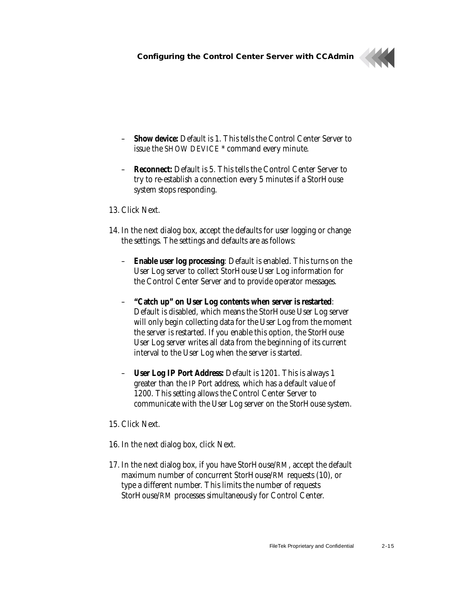

- **Show device:** Default is 1. This tells the Control Center Server to issue the SHOW DEVICE \* command every minute.
- **Reconnect:** Default is 5. This tells the Control Center Server to try to re-establish a connection every 5 minutes if a StorHouse system stops responding.
- 13. Click Next.
- 14. In the next dialog box, accept the defaults for user logging or change the settings. The settings and defaults are as follows:
	- **Enable user log processing**: Default is enabled. This turns on the User Log server to collect StorHouse User Log information for the Control Center Server and to provide operator messages.
	- **"Catch up" on User Log contents when server is restarted**: Default is disabled, which means the StorHouse User Log server will only begin collecting data for the User Log from the moment the server is restarted. If you enable this option, the StorHouse User Log server writes all data from the beginning of its current interval to the User Log when the server is started.
	- **User Log IP Port Address:** Default is 1201. This is always 1 greater than the IP Port address, which has a default value of 1200. This setting allows the Control Center Server to communicate with the User Log server on the StorHouse system.
- 15. Click Next.
- 16. In the next dialog box, click Next.
- 17. In the next dialog box, if you have StorHouse/RM, accept the default maximum number of concurrent StorHouse/RM requests (10), or type a different number. This limits the number of requests StorHouse/RM processes simultaneously for Control Center.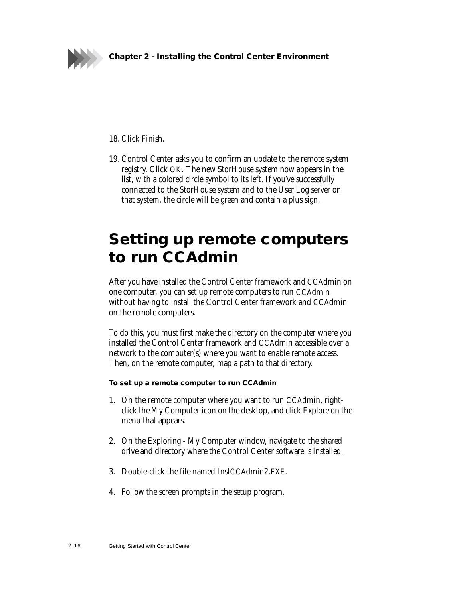

18. Click Finish.

19. Control Center asks you to confirm an update to the remote system registry. Click OK. The new StorHouse system now appears in the list, with a colored circle symbol to its left. If you've successfully connected to the StorHouse system and to the User Log server on that system, the circle will be green and contain a plus sign.

## <span id="page-27-1"></span><span id="page-27-0"></span>**Setting up remote computers to run CCAdmin**

After you have installed the Control Center framework and CCAdmin on one computer, you can set up remote computers to run CCAdmin without having to install the Control Center framework and CCAdmin on the remote computers.

To do this, you must first make the directory on the computer where you installed the Control Center framework and CCAdmin accessible over a network to the computer(s) where you want to enable remote access. Then, on the remote computer, map a path to that directory.

#### **To set up a remote computer to run CCAdmin**

- 1. On the remote computer where you want to run CCAdmin, rightclick the My Computer icon on the desktop, and click Explore on the menu that appears.
- 2. On the Exploring My Computer window, navigate to the shared drive and directory where the Control Center software is installed.
- 3. Double-click the file named InstCCAdmin2.EXE.
- 4. Follow the screen prompts in the setup program.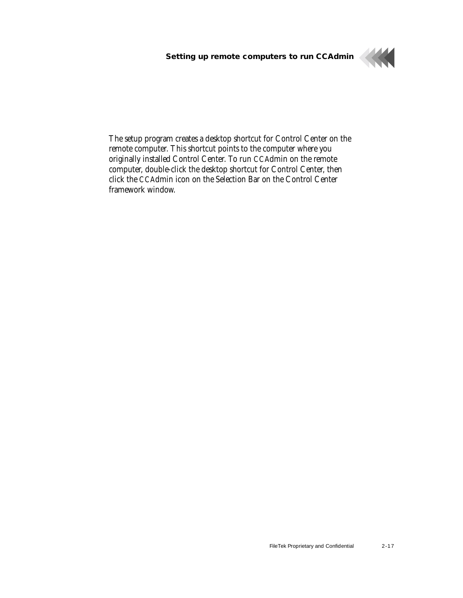**Setting up remote computers to run CCAdmin**



The setup program creates a desktop shortcut for Control Center on the remote computer. This shortcut points to the computer where you originally installed Control Center. To run CCAdmin on the remote computer, double-click the desktop shortcut for Control Center, then click the CCAdmin icon on the Selection Bar on the Control Center framework window.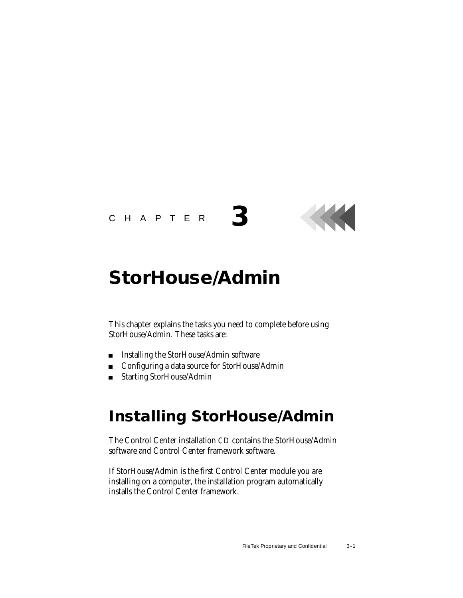### CHAPTER **3**

## <span id="page-29-2"></span><span id="page-29-0"></span>**StorHouse/Admin**

This chapter explains the tasks you need to complete before using StorHouse/Admin. These tasks are:

- **Installing the StorHouse/Admin software**
- Configuring a data source for StorHouse/Admin
- Starting StorHouse/Admin

## <span id="page-29-1"></span>**Installing StorHouse/Admin**

<span id="page-29-5"></span><span id="page-29-4"></span><span id="page-29-3"></span>The Control Center installation CD contains the StorHouse/Admin software and Control Center framework software.

If StorHouse/Admin is the first Control Center module you are installing on a computer, the installation program automatically installs the Control Center framework.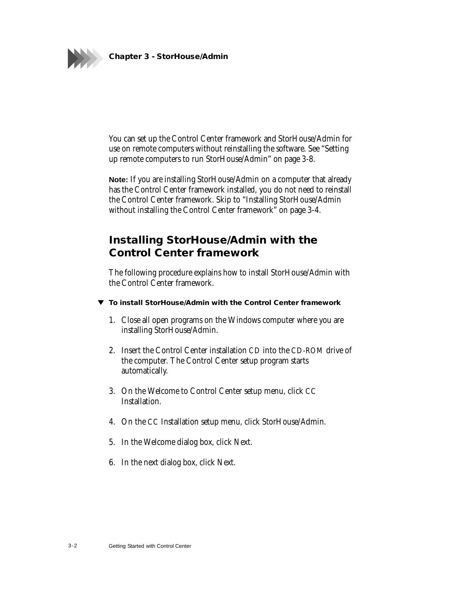

You can set up the Control Center framework and StorHouse/Admin for use on remote computers without reinstalling the software. See "[Setting](#page-36-0)  [up remote computers to run StorHouse/Admin](#page-36-0)" on page 3[-8](#page-36-0).

**Note:** If you are installing StorHouse/Admin on a computer that already has the Control Center framework installed, you do not need to reinstall the Control Center framework. Skip to ["Installing StorHouse/Admin](#page-32-0)  [without installing the Control Center framework"](#page-32-0) on page [3-4.](#page-32-0)

### <span id="page-30-0"></span>**Installing StorHouse/Admin with the Control Center framework**

The following procedure explains how to install StorHouse/Admin with the Control Center framework.

- **To install StorHouse/Admin with the Control Center framework**
	- 1. Close all open programs on the Windows computer where you are installing StorHouse/Admin.
	- 2. Insert the Control Center installation CD into the CD-ROM drive of the computer. The Control Center setup program starts automatically.
	- 3. On the Welcome to Control Center setup menu, click CC Installation.
	- 4. On the CC Installation setup menu, click StorHouse/Admin.
	- 5. In the Welcome dialog box, click Next.
	- 6. In the next dialog box, click Next.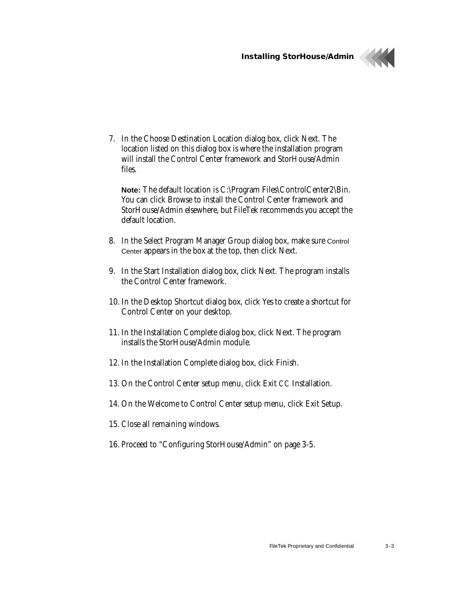**Installing StorHouse/Admin**



7. In the Choose Destination Location dialog box, click Next. The location listed on this dialog box is where the installation program will install the Control Center framework and StorHouse/Admin files.

**Note:** The default location is C:\Program Files\ControlCenter2\Bin. You can click Browse to install the Control Center framework and StorHouse/Admin elsewhere, but FileTek recommends you accept the default location.

- 8. In the Select Program Manager Group dialog box, make sure Control Center appears in the box at the top, then click Next.
- 9. In the Start Installation dialog box, click Next. The program installs the Control Center framework.
- 10. In the Desktop Shortcut dialog box, click Yes to create a shortcut for Control Center on your desktop.
- 11. In the Installation Complete dialog box, click Next. The program installs the StorHouse/Admin module.
- 12. In the Installation Complete dialog box, click Finish.
- 13. On the Control Center setup menu, click Exit CC Installation.
- 14. On the Welcome to Control Center setup menu, click Exit Setup.
- 15. Close all remaining windows.
- 16. Proceed to "[Configuring StorHouse/Admin](#page-33-0)" on page [3-5.](#page-33-0)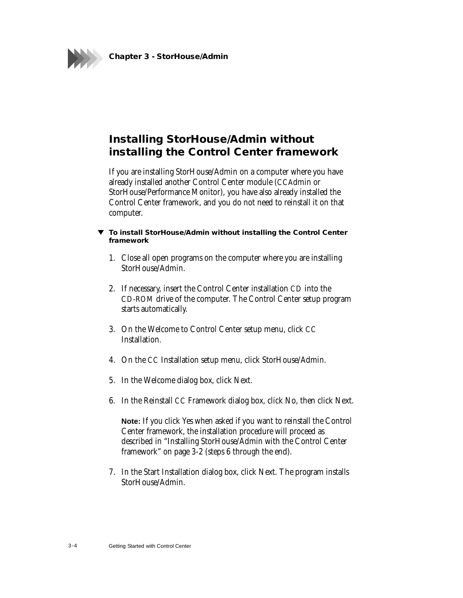

### <span id="page-32-0"></span>**Installing StorHouse/Admin without installing the Control Center framework**

If you are installing StorHouse/Admin on a computer where you have already installed another Control Center module (CCAdmin or StorHouse/Performance Monitor), you have also already installed the Control Center framework, and you do not need to reinstall it on that computer.

- **To install StorHouse/Admin without installing the Control Center framework**
	- 1. Close all open programs on the computer where you are installing StorHouse/Admin.
	- 2. If necessary, insert the Control Center installation CD into the CD-ROM drive of the computer. The Control Center setup program starts automatically.
	- 3. On the Welcome to Control Center setup menu, click CC Installation.
	- 4. On the CC Installation setup menu, click StorHouse/Admin.
	- 5. In the Welcome dialog box, click Next.
	- 6. In the Reinstall CC Framework dialog box, click No, then click Next.

**Note:** If you click Yes when asked if you want to reinstall the Control Center framework, the installation procedure will proceed as described in "[Installing StorHouse/Admin with the Control Center](#page-30-0)  [framework](#page-30-0)" on page [3-2](#page-30-0) (steps 6 through the end).

7. In the Start Installation dialog box, click Next. The program installs StorHouse/Admin.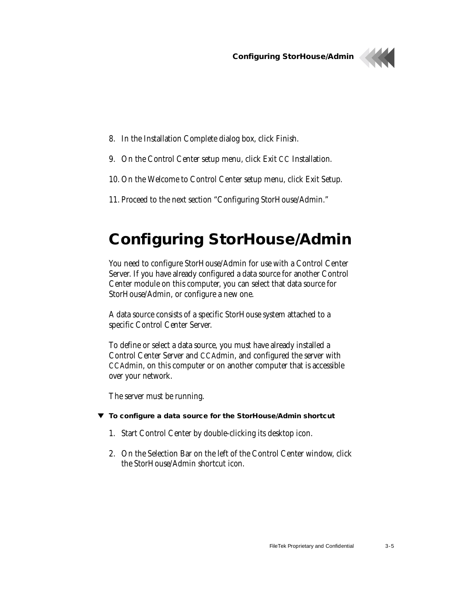**Configuring StorHouse/Admin**



- 8. In the Installation Complete dialog box, click Finish.
- 9. On the Control Center setup menu, click Exit CC Installation.
- 10. On the Welcome to Control Center setup menu, click Exit Setup.
- 11. Proceed to the next section "[Configuring StorHouse/Admin](#page-33-0)."

## <span id="page-33-0"></span>**Configuring StorHouse/Admin**

<span id="page-33-1"></span>You need to configure StorHouse/Admin for use with a Control Center Server. If you have already configured a data source for another Control Center module on this computer, you can select that data source for StorHouse/Admin, or configure a new one.

A data source consists of a specific StorHouse system attached to a specific Control Center Server.

To define or select a data source, you must have already installed a Control Center Server and CCAdmin, and configured the server with CCAdmin, on this computer or on another computer that is accessible over your network.

The server must be running.

- **To configure a data source for the StorHouse/Admin shortcut**
	- 1. Start Control Center by double-clicking its desktop icon.
	- 2. On the Selection Bar on the left of the Control Center window, click the StorHouse/Admin shortcut icon.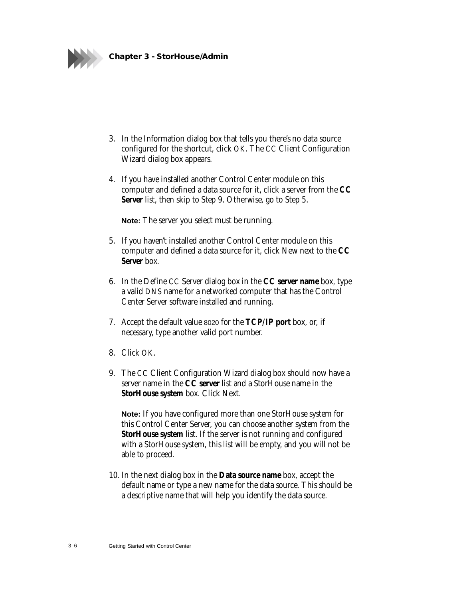

- 3. In the Information dialog box that tells you there's no data source configured for the shortcut, click OK. The CC Client Configuration Wizard dialog box appears.
- 4. If you have installed another Control Center module on this computer and defined a data source for it, click a server from the **CC Server** list, then skip to Step 9. Otherwise, go to Step 5.

**Note:** The server you select must be running.

- 5. If you haven't installed another Control Center module on this computer and defined a data source for it, click New next to the **CC Server** box.
- 6. In the Define CC Server dialog box in the **CC server name** box, type a valid DNS name for a networked computer that has the Control Center Server software installed and running.
- 7. Accept the default value 8020 for the **TCP/IP port** box, or, if necessary, type another valid port number.
- 8. Click OK.
- 9. The CC Client Configuration Wizard dialog box should now have a server name in the **CC server** list and a StorHouse name in the **StorHouse system** box. Click Next.

**Note:** If you have configured more than one StorHouse system for this Control Center Server, you can choose another system from the **StorHouse system** list. If the server is not running and configured with a StorHouse system, this list will be empty, and you will not be able to proceed.

10. In the next dialog box in the **Data source name** box, accept the default name or type a new name for the data source. This should be a descriptive name that will help you identify the data source.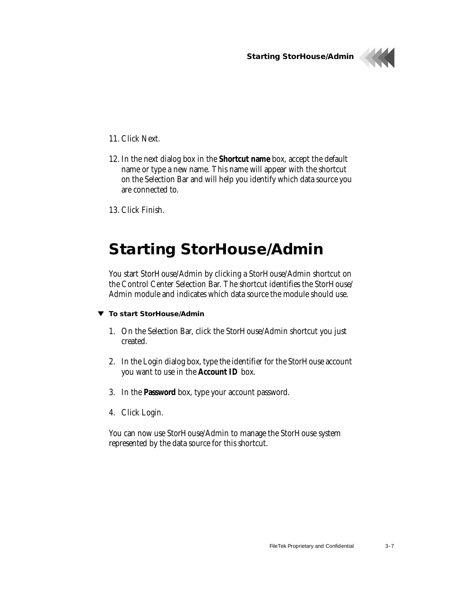**Starting StorHouse/Admin**



#### 11. Click Next.

- 12. In the next dialog box in the **Shortcut name** box, accept the default name or type a new name. This name will appear with the shortcut on the Selection Bar and will help you identify which data source you are connected to.
- 13. Click Finish.

## <span id="page-35-0"></span>**Starting StorHouse/Admin**

<span id="page-35-2"></span><span id="page-35-1"></span>You start StorHouse/Admin by clicking a StorHouse/Admin shortcut on the Control Center Selection Bar. The shortcut identifies the StorHouse/ Admin module and indicates which data source the module should use.

#### **To start StorHouse/Admin**

- 1. On the Selection Bar, click the StorHouse/Admin shortcut you just created.
- 2. In the Login dialog box, type the identifier for the StorHouse account you want to use in the **Account ID** box.
- 3. In the **Password** box, type your account password.
- 4. Click Login.

You can now use StorHouse/Admin to manage the StorHouse system represented by the data source for this shortcut.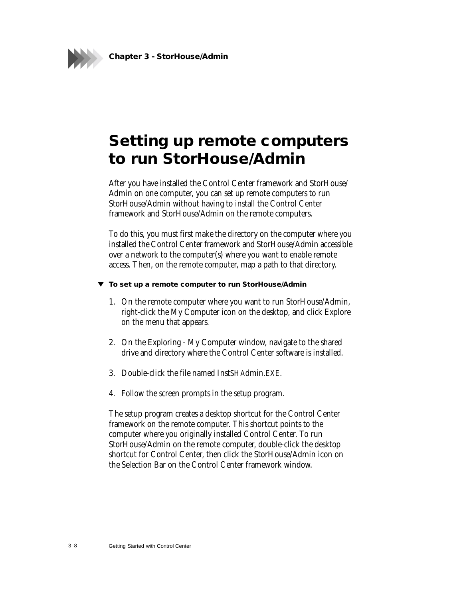

## <span id="page-36-1"></span><span id="page-36-0"></span>**Setting up remote computers to run StorHouse/Admin**

After you have installed the Control Center framework and StorHouse/ Admin on one computer, you can set up remote computers to run StorHouse/Admin without having to install the Control Center framework and StorHouse/Admin on the remote computers.

To do this, you must first make the directory on the computer where you installed the Control Center framework and StorHouse/Admin accessible over a network to the computer(s) where you want to enable remote access. Then, on the remote computer, map a path to that directory.

#### **To set up a remote computer to run StorHouse/Admin**

- 1. On the remote computer where you want to run StorHouse/Admin, right-click the My Computer icon on the desktop, and click Explore on the menu that appears.
- 2. On the Exploring My Computer window, navigate to the shared drive and directory where the Control Center software is installed.
- 3. Double-click the file named InstSHAdmin.EXE.
- 4. Follow the screen prompts in the setup program.

The setup program creates a desktop shortcut for the Control Center framework on the remote computer. This shortcut points to the computer where you originally installed Control Center. To run StorHouse/Admin on the remote computer, double-click the desktop shortcut for Control Center, then click the StorHouse/Admin icon on the Selection Bar on the Control Center framework window.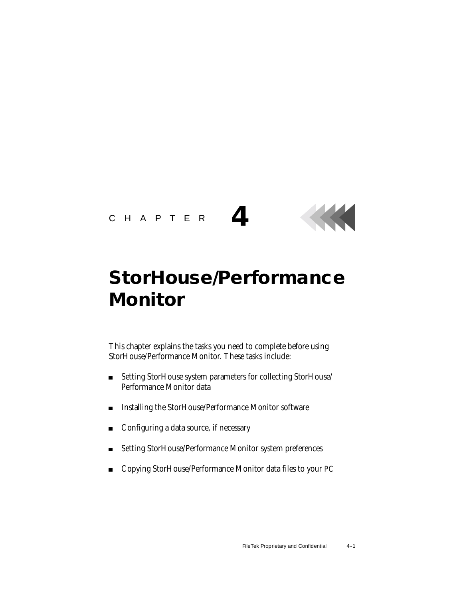

# <span id="page-37-1"></span><span id="page-37-0"></span>**StorHouse/Performance Monitor**

This chapter explains the tasks you need to complete before using StorHouse/Performance Monitor. These tasks include:

- Setting StorHouse system parameters for collecting StorHouse/ Performance Monitor data
- Installing the StorHouse/Performance Monitor software
- Configuring a data source, if necessary
- Setting StorHouse/Performance Monitor system preferences
- Copying StorHouse/Performance Monitor data files to your PC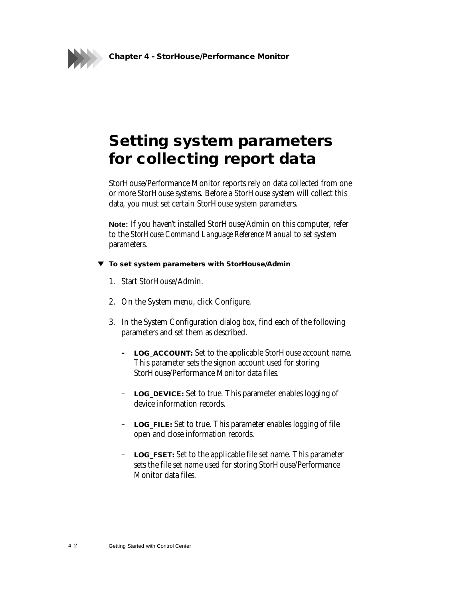**Chapter 4 - StorHouse/Performance Monitor**



## <span id="page-38-0"></span>**Setting system parameters for collecting report data**

<span id="page-38-5"></span>StorHouse/Performance Monitor reports rely on data collected from one or more StorHouse systems. Before a StorHouse system will collect this data, you must set certain StorHouse system parameters.

**Note:** If you haven't installed StorHouse/Admin on this computer, refer to the *StorHouse Command Language Reference Manual* to set system parameters.

#### **To set system parameters with StorHouse/Admin**

- 1. Start StorHouse/Admin.
- 2. On the System menu, click Configure.
- <span id="page-38-9"></span><span id="page-38-8"></span><span id="page-38-7"></span><span id="page-38-6"></span><span id="page-38-4"></span><span id="page-38-3"></span><span id="page-38-2"></span><span id="page-38-1"></span>3. In the System Configuration dialog box, find each of the following parameters and set them as described.
	- **– LOG\_ACCOUNT:** Set to the applicable StorHouse account name. This parameter sets the signon account used for storing StorHouse/Performance Monitor data files.
	- **LOG\_DEVICE:** Set to true. This parameter enables logging of device information records.
	- **LOG\_FILE:** Set to true. This parameter enables logging of file open and close information records.
	- **LOG\_FSET:** Set to the applicable file set name. This parameter sets the file set name used for storing StorHouse/Performance Monitor data files.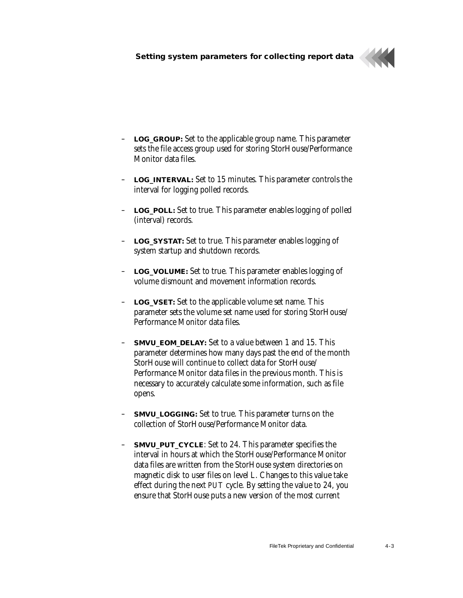

- <span id="page-39-9"></span><span id="page-39-0"></span>– **LOG\_GROUP:** Set to the applicable group name. This parameter sets the file access group used for storing StorHouse/Performance Monitor data files.
- <span id="page-39-10"></span><span id="page-39-1"></span>– **LOG\_INTERVAL:** Set to 15 minutes. This parameter controls the interval for logging polled records.
- <span id="page-39-2"></span>– **LOG\_POLL:** Set to true. This parameter enables logging of polled (interval) records.
- <span id="page-39-11"></span><span id="page-39-3"></span>– **LOG\_SYSTAT:** Set to true. This parameter enables logging of system startup and shutdown records.
- <span id="page-39-12"></span><span id="page-39-4"></span>– **LOG\_VOLUME:** Set to true. This parameter enables logging of volume dismount and movement information records.
- <span id="page-39-13"></span><span id="page-39-5"></span>– **LOG\_VSET:** Set to the applicable volume set name. This parameter sets the volume set name used for storing StorHouse/ Performance Monitor data files.
- <span id="page-39-6"></span>– **SMVU\_EOM\_DELAY:** Set to a value between 1 and 15. This parameter determines how many days past the end of the month StorHouse will continue to collect data for StorHouse/ Performance Monitor data files in the previous month. This is necessary to accurately calculate some information, such as file opens.
- <span id="page-39-14"></span><span id="page-39-7"></span>**SMVU\_LOGGING:** Set to true. This parameter turns on the collection of StorHouse/Performance Monitor data.
- <span id="page-39-15"></span><span id="page-39-8"></span>– **SMVU\_PUT\_CYCLE**: Set to 24. This parameter specifies the interval in hours at which the StorHouse/Performance Monitor data files are written from the StorHouse system directories on magnetic disk to user files on level L. Changes to this value take effect during the next PUT cycle. By setting the value to 24, you ensure that StorHouse puts a new version of the most current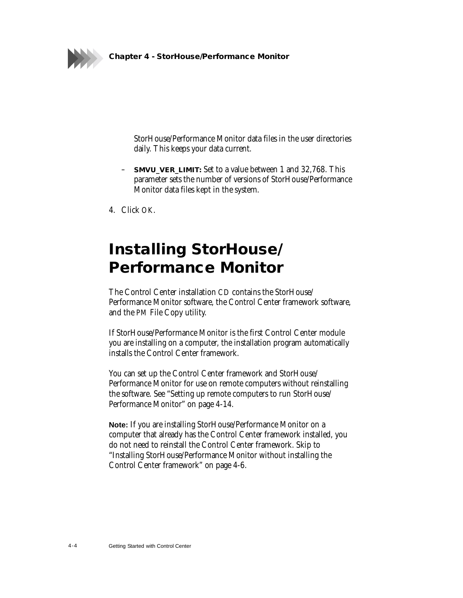

<span id="page-40-4"></span><span id="page-40-2"></span>StorHouse/Performance Monitor data files in the user directories daily. This keeps your data current.

- **SMVU\_VER\_LIMIT:** Set to a value between 1 and 32,768. This parameter sets the number of versions of StorHouse/Performance Monitor data files kept in the system.
- 4. Click OK.

## <span id="page-40-0"></span>**Installing StorHouse/ Performance Monitor**

<span id="page-40-3"></span><span id="page-40-1"></span>The Control Center installation CD contains the StorHouse/ Performance Monitor software, the Control Center framework software, and the PM File Copy utility.

If StorHouse/Performance Monitor is the first Control Center module you are installing on a computer, the installation program automatically installs the Control Center framework.

You can set up the Control Center framework and StorHouse/ Performance Monitor for use on remote computers without reinstalling the software. See ["Setting up remote computers to run StorHouse/](#page-50-0) [Performance Monitor](#page-50-0)" on page [4-14](#page-50-0).

**Note:** If you are installing StorHouse/Performance Monitor on a computer that already has the Control Center framework installed, you do not need to reinstall the Control Center framework. Skip to "[Installing StorHouse/Performance Monitor without installing the](#page-42-0)  [Control Center framework](#page-42-0)" on page [4-6.](#page-42-0)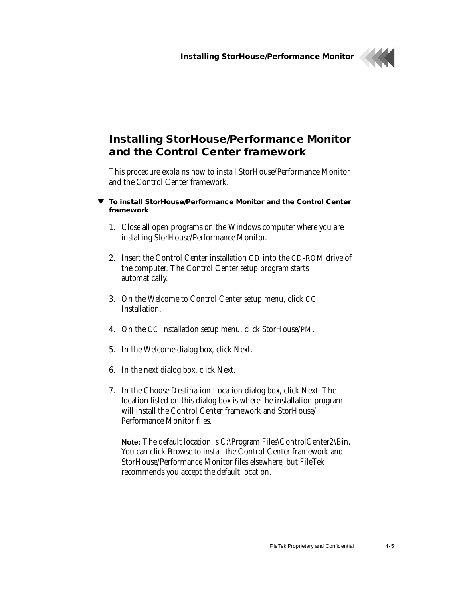

### <span id="page-41-0"></span>**Installing StorHouse/Performance Monitor and the Control Center framework**

This procedure explains how to install StorHouse/Performance Monitor and the Control Center framework.

- **To install StorHouse/Performance Monitor and the Control Center framework**
	- 1. Close all open programs on the Windows computer where you are installing StorHouse/Performance Monitor.
	- 2. Insert the Control Center installation CD into the CD-ROM drive of the computer. The Control Center setup program starts automatically.
	- 3. On the Welcome to Control Center setup menu, click CC Installation.
	- 4. On the CC Installation setup menu, click StorHouse/PM.
	- 5. In the Welcome dialog box, click Next.
	- 6. In the next dialog box, click Next.
	- 7. In the Choose Destination Location dialog box, click Next. The location listed on this dialog box is where the installation program will install the Control Center framework and StorHouse/ Performance Monitor files.

**Note:** The default location is C:\Program Files\ControlCenter2\Bin. You can click Browse to install the Control Center framework and StorHouse/Performance Monitor files elsewhere, but FileTek recommends you accept the default location.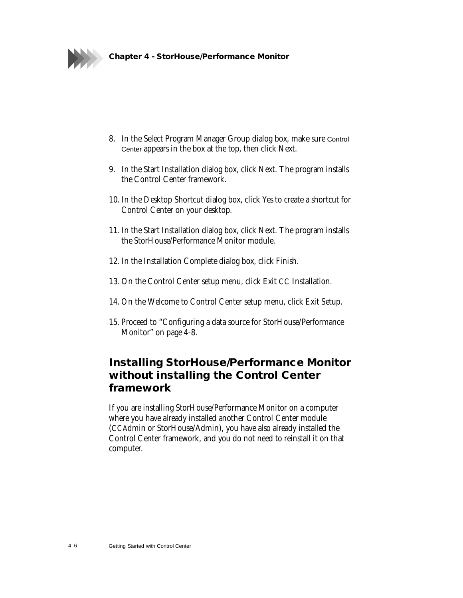

- 8. In the Select Program Manager Group dialog box, make sure Control Center appears in the box at the top, then click Next.
- 9. In the Start Installation dialog box, click Next. The program installs the Control Center framework.
- 10. In the Desktop Shortcut dialog box, click Yes to create a shortcut for Control Center on your desktop.
- 11. In the Start Installation dialog box, click Next. The program installs the StorHouse/Performance Monitor module.
- 12. In the Installation Complete dialog box, click Finish.
- 13. On the Control Center setup menu, click Exit CC Installation.
- 14. On the Welcome to Control Center setup menu, click Exit Setup.
- 15. Proceed to "[Configuring a data source for StorHouse/Performance](#page-44-0)  [Monitor](#page-44-0)" on page 4[-8.](#page-44-0)

### <span id="page-42-0"></span>**Installing StorHouse/Performance Monitor without installing the Control Center framework**

If you are installing StorHouse/Performance Monitor on a computer where you have already installed another Control Center module (CCAdmin or StorHouse/Admin), you have also already installed the Control Center framework, and you do not need to reinstall it on that computer.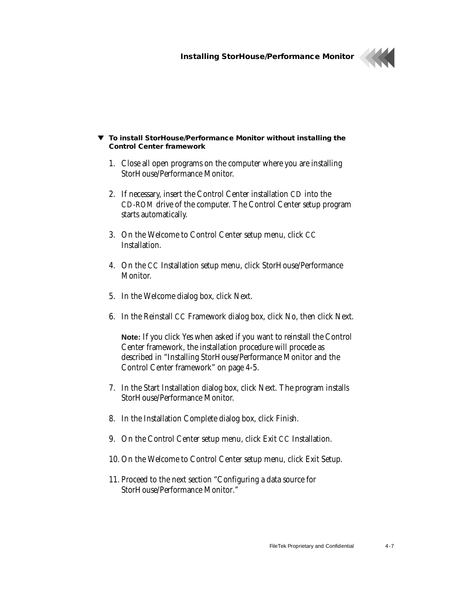

#### **To install StorHouse/Performance Monitor without installing the Control Center framework**

- 1. Close all open programs on the computer where you are installing StorHouse/Performance Monitor.
- 2. If necessary, insert the Control Center installation CD into the CD-ROM drive of the computer. The Control Center setup program starts automatically.
- 3. On the Welcome to Control Center setup menu, click CC Installation.
- 4. On the CC Installation setup menu, click StorHouse/Performance Monitor.
- 5. In the Welcome dialog box, click Next.
- 6. In the Reinstall CC Framework dialog box, click No, then click Next.

**Note:** If you click Yes when asked if you want to reinstall the Control Center framework, the installation procedure will procede as described in "[Installing StorHouse/Performance Monitor and the](#page-41-0)  [Control Center framework"](#page-41-0) on page 4[-5](#page-41-0).

- 7. In the Start Installation dialog box, click Next. The program installs StorHouse/Performance Monitor.
- 8. In the Installation Complete dialog box, click Finish.
- 9. On the Control Center setup menu, click Exit CC Installation.
- 10. On the Welcome to Control Center setup menu, click Exit Setup.
- 11. Proceed to the next section "[Configuring a data source for](#page-44-0)  [StorHouse/Performance Monitor.](#page-44-0)"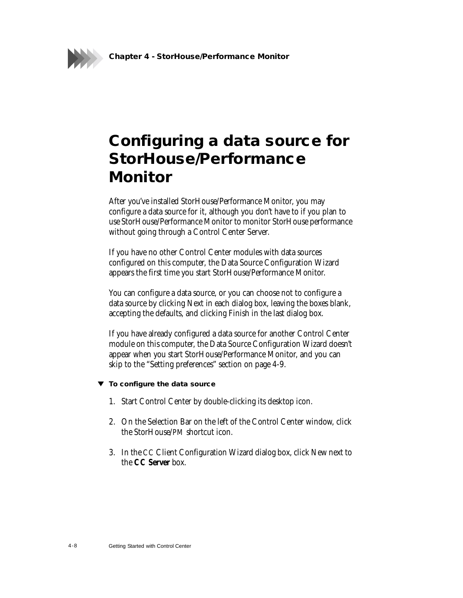**Chapter 4 - StorHouse/Performance Monitor**

## <span id="page-44-0"></span>**Configuring a data source for StorHouse/Performance Monitor**

<span id="page-44-2"></span><span id="page-44-1"></span>After you've installed StorHouse/Performance Monitor, you may configure a data source for it, although you don't have to if you plan to use StorHouse/Performance Monitor to monitor StorHouse performance without going through a Control Center Server.

If you have no other Control Center modules with data sources configured on this computer, the Data Source Configuration Wizard appears the first time you start StorHouse/Performance Monitor.

You can configure a data source, or you can choose not to configure a data source by clicking Next in each dialog box, leaving the boxes blank, accepting the defaults, and clicking Finish in the last dialog box.

If you have already configured a data source for another Control Center module on this computer, the Data Source Configuration Wizard doesn't appear when you start StorHouse/Performance Monitor, and you can skip to the ["Setting preferences"](#page-45-0) section on page [4-9.](#page-45-0)

- **To configure the data source**
	- 1. Start Control Center by double-clicking its desktop icon.
	- 2. On the Selection Bar on the left of the Control Center window, click the StorHouse/PM shortcut icon.
	- 3. In the CC Client Configuration Wizard dialog box, click New next to the **CC Server** box.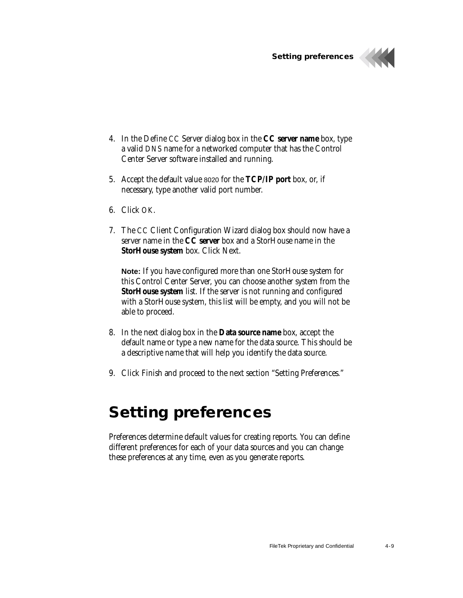**Setting preferences**



- 4. In the Define CC Server dialog box in the **CC server name** box, type a valid DNS name for a networked computer that has the Control Center Server software installed and running.
- 5. Accept the default value 8020 for the **TCP/IP port** box, or, if necessary, type another valid port number.
- 6. Click OK.
- 7. The CC Client Configuration Wizard dialog box should now have a server name in the **CC server** box and a StorHouse name in the **StorHouse system** box. Click Next.

**Note:** If you have configured more than one StorHouse system for this Control Center Server, you can choose another system from the **StorHouse system** list. If the server is not running and configured with a StorHouse system, this list will be empty, and you will not be able to proceed.

- 8. In the next dialog box in the **Data source name** box, accept the default name or type a new name for the data source. This should be a descriptive name that will help you identify the data source.
- 9. Click Finish and proceed to the next section "Setting Preferences."

### <span id="page-45-0"></span>**Setting preferences**

<span id="page-45-2"></span><span id="page-45-1"></span>Preferences determine default values for creating reports. You can define different preferences for each of your data sources and you can change these preferences at any time, even as you generate reports.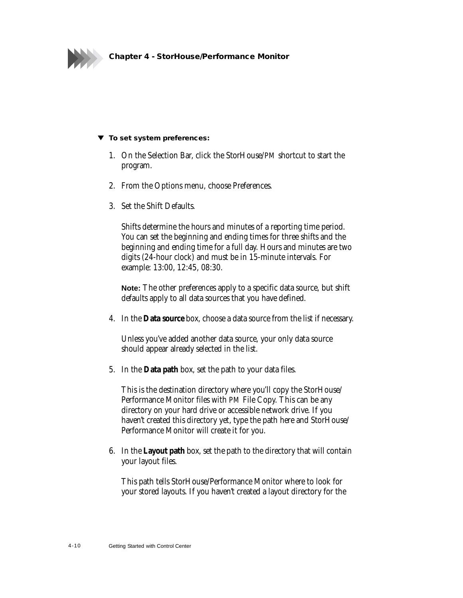

#### **To set system preferences:**

- 1. On the Selection Bar, click the StorHouse/PM shortcut to start the program.
- 2. From the Options menu, choose Preferences.
- 3. Set the Shift Defaults.

Shifts determine the hours and minutes of a reporting time period. You can set the beginning and ending times for three shifts and the beginning and ending time for a full day. Hours and minutes are two digits (24-hour clock) and must be in 15-minute intervals. For example: 13:00, 12:45, 08:30.

**Note:** The other preferences apply to a specific data source, but shift defaults apply to all data sources that you have defined.

4. In the **Data source** box, choose a data source from the list if necessary.

Unless you've added another data source, your only data source should appear already selected in the list.

5. In the **Data path** box, set the path to your data files.

This is the destination directory where you'll copy the StorHouse/ Performance Monitor files with PM File Copy. This can be any directory on your hard drive or accessible network drive. If you haven't created this directory yet, type the path here and StorHouse/ Performance Monitor will create it for you.

6. In the **Layout path** box, set the path to the directory that will contain your layout files.

This path tells StorHouse/Performance Monitor where to look for your stored layouts. If you haven't created a layout directory for the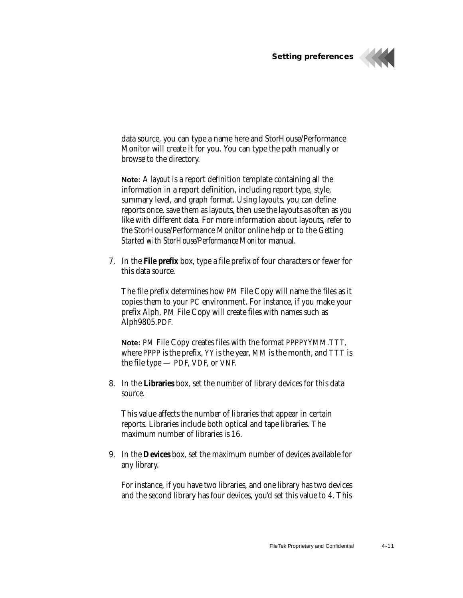**Setting preferences**



data source, you can type a name here and StorHouse/Performance Monitor will create it for you. You can type the path manually or browse to the directory.

<span id="page-47-3"></span><span id="page-47-1"></span>**Note:** A *layout* is a report definition template containing all the information in a report definition, including report type, style, summary level, and graph format. Using layouts, you can define reports once, save them as layouts, then use the layouts as often as you like with different data. For more information about layouts, refer to the StorHouse/Performance Monitor online help or to the *Getting Started with StorHouse/Performance Monitor* manual.

7. In the **File prefix** box, type a file prefix of four characters or fewer for this data source.

<span id="page-47-2"></span><span id="page-47-0"></span>The file prefix determines how PM File Copy will name the files as it copies them to your PC environment. For instance, if you make your prefix Alph, PM File Copy will create files with names such as Alph9805.PDF.

**Note:** PM File Copy creates files with the format PPPPYYMM.TTT, where PPPP is the prefix, YY is the year, MM is the month, and TTT is the file type — PDF, VDF, or VNF.

8. In the **Libraries** box, set the number of library devices for this data source.

This value affects the number of libraries that appear in certain reports. Libraries include both optical and tape libraries. The maximum number of libraries is 16.

9. In the **Devices** box, set the maximum number of devices available for any library.

For instance, if you have two libraries, and one library has two devices and the second library has four devices, you'd set this value to 4. This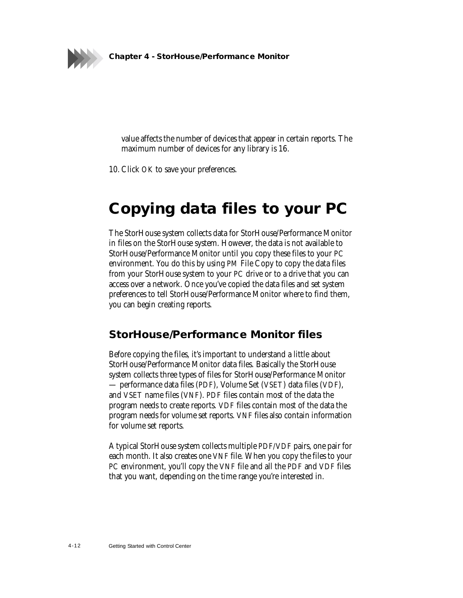

value affects the number of devices that appear in certain reports. The maximum number of devices for any library is 16.

10. Click OK to save your preferences.

## <span id="page-48-0"></span>**Copying data files to your PC**

<span id="page-48-4"></span><span id="page-48-3"></span><span id="page-48-2"></span>The StorHouse system collects data for StorHouse/Performance Monitor in files on the StorHouse system. However, the data is not available to StorHouse/Performance Monitor until you copy these files to your PC environment. You do this by using PM File Copy to copy the data files from your StorHouse system to your PC drive or to a drive that you can access over a network. Once you've copied the data files and set system preferences to tell StorHouse/Performance Monitor where to find them, you can begin creating reports.

#### <span id="page-48-1"></span>**StorHouse/Performance Monitor files**

Before copying the files, it's important to understand a little about StorHouse/Performance Monitor data files. Basically the StorHouse system collects three types of files for StorHouse/Performance Monitor — performance data files (PDF), Volume Set (VSET) data files (VDF), and VSET name files (VNF). PDF files contain most of the data the program needs to create reports. VDF files contain most of the data the program needs for volume set reports. VNF files also contain information for volume set reports.

A typical StorHouse system collects multiple PDF/VDF pairs, one pair for each month. It also creates one VNF file. When you copy the files to your PC environment, you'll copy the VNF file and all the PDF and VDF files that you want, depending on the time range you're interested in.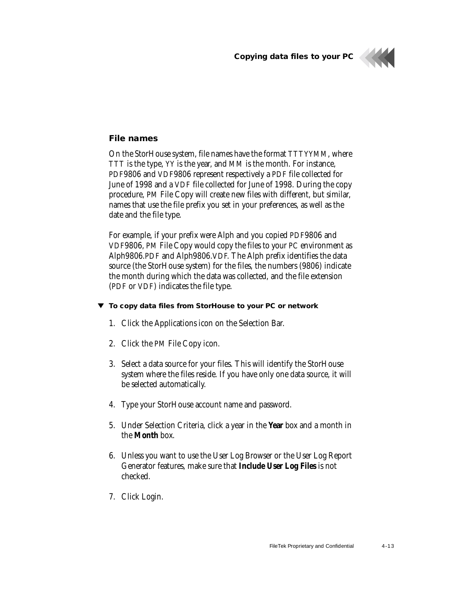**Copying data files to your PC**



#### <span id="page-49-2"></span><span id="page-49-1"></span><span id="page-49-0"></span>**File names**

On the StorHouse system, file names have the format TTTYYMM, where TTT is the type, YY is the year, and MM is the month. For instance, PDF9806 and VDF9806 represent respectively a PDF file collected for June of 1998 and a VDF file collected for June of 1998. During the copy procedure, PM File Copy will create new files with different, but similar, names that use the file prefix you set in your preferences, as well as the date and the file type.

For example, if your prefix were Alph and you copied PDF9806 and VDF9806, PM File Copy would copy the files to your PC environment as Alph9806.PDF and Alph9806.VDF. The Alph prefix identifies the data source (the StorHouse system) for the files, the numbers (9806) indicate the month during which the data was collected, and the file extension (PDF or VDF) indicates the file type.

#### **To copy data files from StorHouse to your PC or network**

- 1. Click the Applications icon on the Selection Bar.
- 2. Click the PM File Copy icon.
- 3. Select a data source for your files. This will identify the StorHouse system where the files reside. If you have only one data source, it will be selected automatically.
- 4. Type your StorHouse account name and password.
- 5. Under Selection Criteria, click a year in the **Year** box and a month in the **Month** box.
- 6. Unless you want to use the User Log Browser or the User Log Report Generator features, make sure that **Include User Log Files** is not checked.
- 7. Click Login.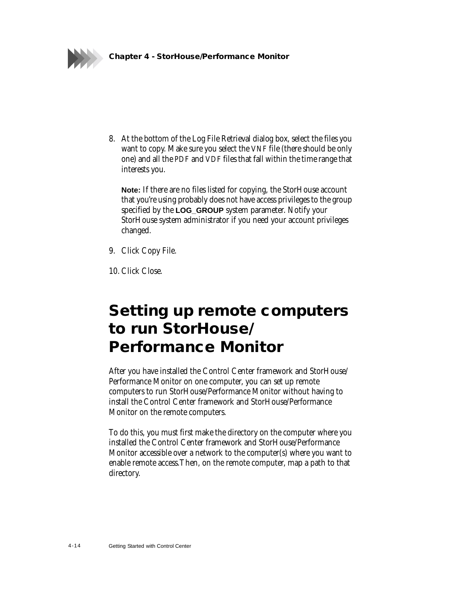

8. At the bottom of the Log File Retrieval dialog box, select the files you want to copy. Make sure you select the VNF file (there should be only one) and all the PDF and VDF files that fall within the time range that interests you.

**Note:** If there are no files listed for copying, the StorHouse account that you're using probably does not have access privileges to the group specified by the **LOG\_GROUP** system parameter. Notify your StorHouse system administrator if you need your account privileges changed.

- 9. Click Copy File.
- 10. Click Close.

## <span id="page-50-1"></span><span id="page-50-0"></span>**Setting up remote computers to run StorHouse/ Performance Monitor**

After you have installed the Control Center framework and StorHouse/ Performance Monitor on one computer, you can set up remote computers to run StorHouse/Performance Monitor without having to install the Control Center framework and StorHouse/Performance Monitor on the remote computers.

To do this, you must first make the directory on the computer where you installed the Control Center framework and StorHouse/Performance Monitor accessible over a network to the computer(s) where you want to enable remote access.Then, on the remote computer, map a path to that directory.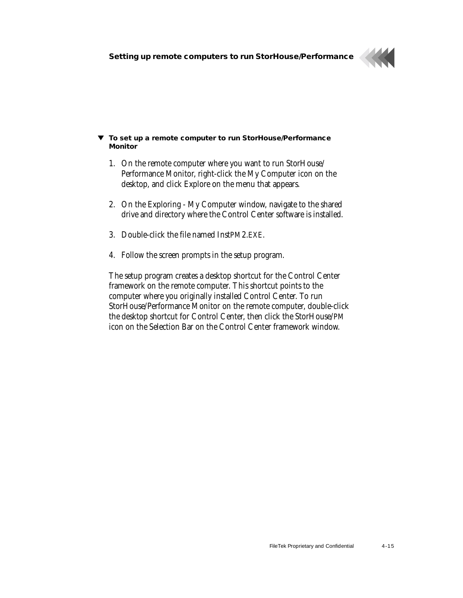

#### **To set up a remote computer to run StorHouse/Performance Monitor**

- 1. On the remote computer where you want to run StorHouse/ Performance Monitor, right-click the My Computer icon on the desktop, and click Explore on the menu that appears.
- 2. On the Exploring My Computer window, navigate to the shared drive and directory where the Control Center software is installed.
- 3. Double-click the file named InstPM2.EXE.
- 4. Follow the screen prompts in the setup program.

The setup program creates a desktop shortcut for the Control Center framework on the remote computer. This shortcut points to the computer where you originally installed Control Center. To run StorHouse/Performance Monitor on the remote computer, double-click the desktop shortcut for Control Center, then click the StorHouse/PM icon on the Selection Bar on the Control Center framework window.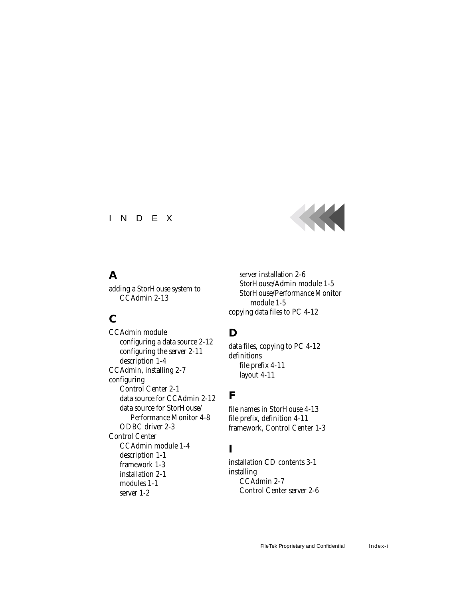#### INDEX



#### **A**

[adding a StorHouse system to](#page-24-1)  CCAdmin 2-13

#### **C**

CCAdmin module [configuring a data source 2-12](#page-23-1) [configuring the server 2-11](#page-22-2) [description 1-4](#page-10-1) [CCAdmin, installing 2-7](#page-18-1) configuring [Control Center 2-1](#page-12-2) [data source for CCAdmin 2-12](#page-23-2) [data source for StorHouse/](#page-44-1) Performance Monitor 4-8 [ODBC driver 2-3](#page-14-1) Control Center [CCAdmin module 1-4](#page-10-2) [description 1-1](#page-7-4) [framework 1-3](#page-9-1) [installation 2-1](#page-12-3) [modules 1-1](#page-7-5) [server 1-2](#page-8-1)

[server installation 2-6](#page-17-1) [StorHouse/Admin module 1-5](#page-11-2) [StorHouse/Performance Monitor](#page-11-3)  module 1-5 [copying data files to PC 4-12](#page-48-2)

### **D**

[data files, copying to PC 4-12](#page-48-3) definitions [file prefix 4-11](#page-47-0) [layout 4-11](#page-47-1)

#### **F**

[file names in StorHouse 4-13](#page-49-1) [file prefix, definition 4-11](#page-47-2) [framework, Control Center 1-3](#page-9-2)

#### **I**

[installation CD contents 3-1](#page-29-3) installing [CCAdmin 2-7](#page-18-2) [Control Center server 2-6](#page-17-2)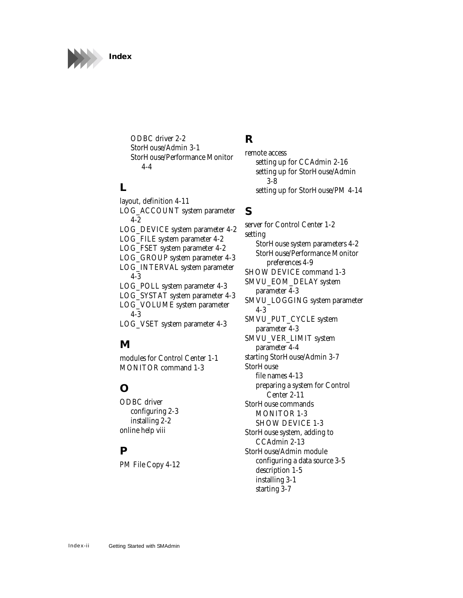

[ODBC driver 2-2](#page-13-2) [StorHouse/Admin 3-1](#page-29-4) [StorHouse/Performance Monitor](#page-40-1)  4-4

### **L**

[layout, definition 4-11](#page-47-3) [LOG\\_ACCOUNT system parameter](#page-38-1)  4-2 [LOG\\_DEVICE system parameter 4-2](#page-38-2) [LOG\\_FILE system parameter 4-2](#page-38-3) [LOG\\_FSET system parameter 4-2](#page-38-4) [LOG\\_GROUP system parameter 4-3](#page-39-0) [LOG\\_INTERVAL system parameter](#page-39-1)  4-3 [LOG\\_POLL system parameter 4-3](#page-39-2) [LOG\\_SYSTAT system parameter 4-3](#page-39-3) [LOG\\_VOLUME system parameter](#page-39-4)  4-3 [LOG\\_VSET system parameter 4-3](#page-39-5)

### **M**

[modules for Control Center 1-1](#page-7-6) [MONITOR command 1-3](#page-9-3)

### **O**

ODBC driver [configuring 2-3](#page-14-2) [installing 2-2](#page-13-3) [online help viii](#page-6-3)

#### **P**

[PM File Copy 4-12](#page-48-4)

### **R**

remote access [setting up for CCAdmin 2-16](#page-27-1) [setting up for StorHouse/Admin](#page-36-1) 3-8 [setting up for StorHouse/PM 4-14](#page-50-1)

#### **S**

[server for Control Center 1-2](#page-8-2) setting [StorHouse system parameters 4-2](#page-38-5) [StorHouse/Performance Monitor](#page-45-1)  preferences 4-9 [SHOW DEVICE command 1-3](#page-9-3) [SMVU\\_EOM\\_DELAY system](#page-39-6)  parameter 4-3 [SMVU\\_LOGGING system parameter](#page-39-7)  4-3 [SMVU\\_PUT\\_CYCLE system](#page-39-8)  parameter 4-3 [SMVU\\_VER\\_LIMIT system](#page-40-2)  parameter 4-4 [starting StorHouse/Admin 3-7](#page-35-1) **StorHouse** [file names 4-13](#page-49-2) [preparing a system for Control](#page-22-3)  Center 2-11 StorHouse commands [MONITOR 1-3](#page-9-3) [SHOW DEVICE 1-3](#page-9-4) [StorHouse system, adding to](#page-24-2)  CCAdmin 2-13 StorHouse/Admin module [configuring a data source 3-5](#page-33-1) [description 1-5](#page-11-4) [installing 3-1](#page-29-5) [starting 3-7](#page-35-2)